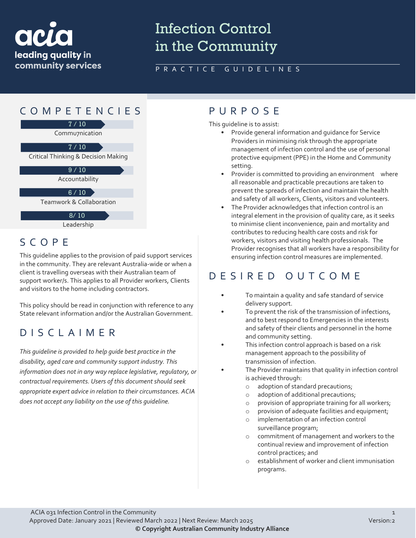

# Infection Control in the Community

### PRACTICE GUIDELINES



## SCOPE

This guideline applies to the provision of paid support services in the community. They are relevant Australia-wide or when a client is travelling overseas with their Australian team of support worker/s. This applies to all Provider workers, Clients and visitors to the home including contractors.

This policy should be read in conjunction with reference to any State relevant information and/or the Australian Government.

### DISCLAIMER

*This guideline is provided to help guide best practice in the disability, aged care and community support industry. This information does not in any way replace legislative, regulatory, or contractual requirements. Users of this document should seek appropriate expert advice in relation to their circumstances. ACIA does not accept any liability on the use of this guideline.*

This guideline is to assist:

- Provide general information and guidance for Service Providers in minimising risk through the appropriate management of infection control and the use of personal protective equipment (PPE) in the Home and Community setting.
- Provider is committed to providing an environment where all reasonable and practicable precautions are taken to prevent the spreads of infection and maintain the health and safety of all workers, Clients, visitors and volunteers.
- The Provider acknowledges that infection control is an integral element in the provision of quality care, as it seeks to minimise client inconvenience, pain and mortality and contributes to reducing health care costs and risk for workers, visitors and visiting health professionals. The Provider recognises that all workers have a responsibility for ensuring infection control measures are implemented.

### DESIRED OUTCOME

- To maintain a quality and safe standard of service delivery support.
- To prevent the risk of the transmission of infections, and to best respond to Emergencies in the interests and safety of their clients and personnel in the home and community setting.
- This infection control approach is based on a risk management approach to the possibility of transmission of infection.
- The Provider maintains that quality in infection control is achieved through:
	- o adoption of standard precautions;
	- o adoption of additional precautions;
	- o provision of appropriate training for all workers;
	- o provision of adequate facilities and equipment;
	- o implementation of an infection control surveillance program;
	- o commitment of management and workers to the continual review and improvement of infection control practices; and
	- o establishment of worker and client immunisation programs.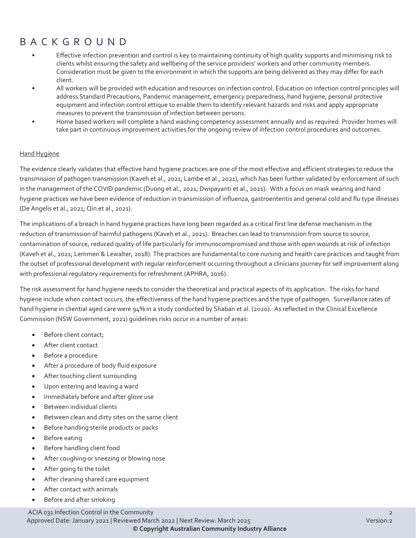### BACKGROUND

- Effective infection prevention and control is key to maintaining continuity of high quality supports and minimising risk to clients whilst ensuring the safety and wellbeing of the service providers' workers and other community members. Consideration must be given to the environment in which the supports are being delivered as they may differ for each client.
- All workers will be provided with education and resources on infection control. Education on infection control principles will address Standard Precautions, Pandemic management, emergency preparedness, hand hygiene, personal protective equipment and infection control ettique to enable them to identify relevant hazards and risks and apply appropriate measures to prevent the transmission of infection between persons.
- Home based workers will complete a hand washing competency assessment annually and as required. Provider homes will take part in continuous improvement activities for the ongoing review of infection control procedures and outcomes.

#### **Hand Hygiene**

The evidence clearly validates that effective hand hygiene practices are one of the most effective and efficient strategies to reduce the transmission of pathogen transmission (Kaveh et al., 2021; Lambe et al., 2021), which has been further validated by enforcement of such in the management of the COVID pandemic (Duong et al., 2021; Dwipayanti et al., 2021). With a focus on mask wearing and hand hygiene practices we have been evidence of reduction in transmission of influenza, gastroenteritis and general cold and flu type illnesses (De Angelis et al., 2021; Qin et al., 2021).

The implications of a breach in hand hygiene practices have long been regarded as a critical first line defense mechanism in the reduction of transmission of harmful pathogens (Kaveh et al., 2021). Breaches can lead to transmission from source to source, contamination of source, reduced quality of life particularly for immunocompromised and those with open wounds at risk of infection (Kaveh et al., 2021; Lemmen & Lewalter, 2018). The practices are fundamental to core nursing and health care practices and taught from the outset of professional development with regular reinforcement occurring throughout a clinicians journey for self improvement along with professional regulatory requirements for refreshment (APHRA, 2016).

The risk assessment for hand hygiene needs to consider the theoretical and practical aspects of its application. The risks for hand hygiene include when contact occurs, the effectiveness of the hand hygiene practices and the type of pathogen. Surveillance rates of hand hygiene in cliential aged care were 94% in a study conducted by Shaban et al. (2020). As reflected in the Clinical Excellence Commission (NSW Government, 2021) guidelines risks occur in a number of areas:

- Before client contact;
- After client contact
- Before a procedure
- After a procedure of body fluid exposure
- After touching client surrounding
- Upon entering and leaving a ward
- Immediately before and after glove use
- Between individual clients
- Between clean and dirty sites on the same client
- Before handling sterile products or packs
- Before eating
- Before handling client food
- After coughing or sneezing or blowing nose
- After going to the toilet
- After cleaning shared care equipment
- After contact with animals
- Before and after smoking

ACIA 031 Infection Control in the Community 2 Approved Date: January 2021 | Reviewed March 2022 | Next Review: March 2025 Version:2

**© Copyright Australian Community Industry Alliance**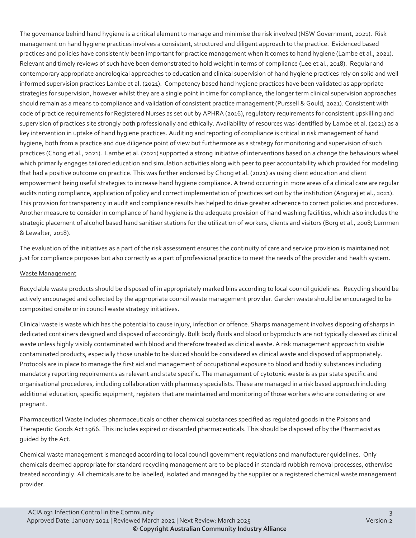The governance behind hand hygiene is a critical element to manage and minimise the risk involved (NSW Government, 2021). Risk management on hand hygiene practices involves a consistent, structured and diligent approach to the practice. Evidenced based practices and policies have consistently been important for practice management when it comes to hand hygiene (Lambe et al., 2021). Relevant and timely reviews of such have been demonstrated to hold weight in terms of compliance (Lee et al., 2018). Regular and contemporary appropriate andrological approaches to education and clinical supervision of hand hygiene practices rely on solid and well informed supervision practices Lambe et al. (2021). Competency based hand hygiene practices have been validated as appropriate strategies for supervision, however whilst they are a single point in time for compliance, the longer term clinical supervision approaches should remain as a means to compliance and validation of consistent practice management (Purssell & Gould, 2021). Consistent with code of practice requirements for Registered Nurses as set out by APHRA (2016), regulatory requirements for consistent upskilling and supervision of practices site strongly both professionally and ethically. Availability of resources was identified by Lambe et al. (2021) as a key intervention in uptake of hand hygiene practices. Auditing and reporting of compliance is critical in risk management of hand hygiene, both from a practice and due diligence point of view but furthermore as a strategy for monitoring and supervision of such practices (Chong et al., 2021). Lambe et al. (2021) supported a strong initiative of interventions based on a change the behaviours wheel which primarily engages tailored education and simulation activities along with peer to peer accountability which provided for modeling that had a positive outcome on practice. This was further endorsed by Chong et al. (2021) as using client education and client empowerment being useful strategies to increase hand hygiene compliance. A trend occurring in more areas of a clinical care are regular audits noting compliance, application of policy and correct implementation of practices set out by the institution (Anguraj et al., 2021). This provision for transparency in audit and compliance results has helped to drive greater adherence to correct policies and procedures. Another measure to consider in compliance of hand hygiene is the adequate provision of hand washing facilities, which also includes the strategic placement of alcohol based hand sanitiser stations for the utilization of workers, clients and visitors (Borg et al., 2008; Lemmen & Lewalter, 2018).

The evaluation of the initiatives as a part of the risk assessment ensures the continuity of care and service provision is maintained not just for compliance purposes but also correctly as a part of professional practice to meet the needs of the provider and health system.

#### Waste Management

Recyclable waste products should be disposed of in appropriately marked bins according to local council guidelines. Recycling should be actively encouraged and collected by the appropriate council waste management provider. Garden waste should be encouraged to be composited onsite or in council waste strategy initiatives.

Clinical waste is waste which has the potential to cause injury, infection or offence. Sharps management involves disposing of sharps in dedicated containers designed and disposed of accordingly. Bulk body fluids and blood or byproducts are not typically classed as clinical waste unless highly visibly contaminated with blood and therefore treated as clinical waste. A risk management approach to visible contaminated products, especially those unable to be sluiced should be considered as clinical waste and disposed of appropriately. Protocols are in place to manage the first aid and management of occupational exposure to blood and bodily substances including mandatory reporting requirements as relevant and state specific. The management of cytotoxic waste is as per state specific and organisational procedures, including collaboration with pharmacy specialists. These are managed in a risk based approach including additional education, specific equipment, registers that are maintained and monitoring of those workers who are considering or are pregnant.

Pharmaceutical Waste includes pharmaceuticals or other chemical substances specified as regulated goods in the Poisons and Therapeutic Goods Act 1966. This includes expired or discarded pharmaceuticals. This should be disposed of by the Pharmacist as guided by the Act.

Chemical waste management is managed according to local council government regulations and manufacturer guidelines. Only chemicals deemed appropriate for standard recycling management are to be placed in standard rubbish removal processes, otherwise treated accordingly. All chemicals are to be labelled, isolated and managed by the supplier or a registered chemical waste management provider.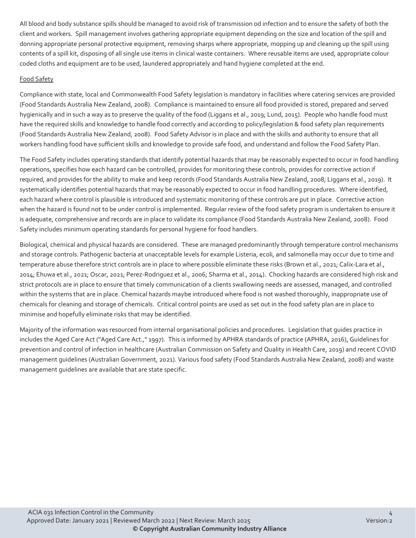All blood and body substance spills should be managed to avoid risk of transmission od infection and to ensure the safety of both the client and workers. Spill management involves gathering appropriate equipment depending on the size and location of the spill and donning appropriate personal protective equipment, removing sharps where appropriate, mopping up and cleaning up the spill using contents of a spill kit, disposing of all single use items in clinical waste containers. Where reusable items are used, appropriate colour coded cloths and equipment are to be used, laundered appropriately and hand hygiene completed at the end.

#### Food Safety

Compliance with state, local and Commonwealth Food Safety legislation is mandatory in facilities where catering services are provided (Food Standards Australia New Zealand, 2008). Compliance is maintained to ensure all food provided is stored, prepared and served hygienically and in such a way as to preserve the quality of the food (Liggans et al., 2019; Lund, 2015). People who handle food must have the required skills and knowledge to handle food correctly and according to policy/legislation & food safety plan requirements (Food Standards Australia New Zealand, 2008). Food Safety Advisor is in place and with the skills and authority to ensure that all workers handling food have sufficient skills and knowledge to provide safe food, and understand and follow the Food Safety Plan.

The Food Safety includes operating standards that identify potential hazards that may be reasonably expected to occur in food handling operations, specifies how each hazard can be controlled, provides for monitoring these controls, provides for corrective action if required, and provides for the ability to make and keep records (Food Standards Australia New Zealand, 2008; Liggans et al., 2019). It systematically identifies potential hazards that may be reasonably expected to occur in food handling procedures. Where identified, each hazard where control is plausible is introduced and systematic monitoring of these controls are put in place. Corrective action when the hazard is found not to be under control is implemented. Regular review of the food safety program is undertaken to ensure it is adequate, comprehensive and records are in place to validate its compliance (Food Standards Australia New Zealand, 2008). Food Safety includes minimum operating standards for personal hygiene for food handlers.

Biological, chemical and physical hazards are considered. These are managed predominantly through temperature control mechanisms and storage controls. Pathogenic bacteria at unacceptable levels for example Listeria, ecoli, and salmonella may occur due to time and temperature abuse therefore strict controls are in place to where possible eliminate these risks (Brown et al., 2021; Calix-Lara et al., 2014; Ehuwa et al., 2021; Oscar, 2021; Perez-Rodriguez et al., 2006; Sharma et al., 2014). Chocking hazards are considered high risk and strict protocols are in place to ensure that timely communication of a clients swallowing needs are assessed, managed, and controlled within the systems that are in place. Chemical hazards maybe introduced where food is not washed thoroughly, inappropriate use of chemicals for cleaning and storage of chemicals. Critical control points are used as set out in the food safety plan are in place to minimise and hopefully eliminate risks that may be identified.

Majority of the information was resourced from internal organisational policies and procedures. Legislation that guides practice in includes the Aged Care Act ("Aged Care Act.," 1997). This is informed by APHRA standards of practice (APHRA, 2016), Guidelines for prevention and control of infection in healthcare (Australian Commission on Safety and Quality in Health Care, 2019) and recent COVID management guidelines (Australian Government, 2021). Various food safety (Food Standards Australia New Zealand, 2008) and waste management guidelines are available that are state specific.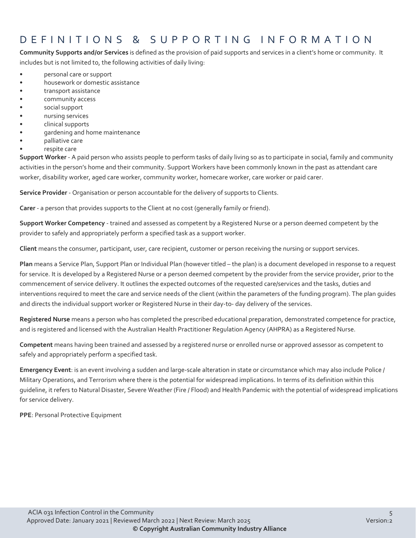### DEFINITIONS & SUPPORTING INFORMATIO N

**Community Supports and/or Services** is defined as the provision of paid supports and services in a client's home or community. It includes but is not limited to, the following activities of daily living:

- personal care or support
- housework or domestic assistance
- transport assistance
- community access
- social support
- nursing services
- clinical supports
- gardening and home maintenance
- palliative care
- respite care

**Support Worker** - A paid person who assists people to perform tasks of daily living so as to participate in social, family and community activities in the person's home and their community. Support Workers have been commonly known in the past as attendant care worker, disability worker, aged care worker, community worker, homecare worker, care worker or paid carer.

**Service Provider** - Organisation or person accountable for the delivery of supports to Clients.

**Carer** - a person that provides supports to the Client at no cost (generally family or friend).

**Support Worker Competency** - trained and assessed as competent by a Registered Nurse or a person deemed competent by the provider to safely and appropriately perform a specified task as a support worker.

**Client** means the consumer, participant, user, care recipient, customer or person receiving the nursing or support services.

**Plan** means a Service Plan, Support Plan or Individual Plan (however titled – the plan) is a document developed in response to a request for service. It is developed by a Registered Nurse or a person deemed competent by the provider from the service provider, prior to the commencement of service delivery. It outlines the expected outcomes of the requested care/services and the tasks, duties and interventions required to meet the care and service needs of the client (within the parameters of the funding program). The plan guides and directs the individual support worker or Registered Nurse in their day-to- day delivery of the services.

**Registered Nurse** means a person who has completed the prescribed educational preparation, demonstrated competence for practice, and is registered and licensed with the Australian Health Practitioner Regulation Agency (AHPRA) as a Registered Nurse.

**Competent** means having been trained and assessed by a registered nurse or enrolled nurse or approved assessor as competent to safely and appropriately perform a specified task.

**Emergency Event**: is an event involving a sudden and large-scale alteration in state or circumstance which may also include Police / Military Operations, and Terrorism where there is the potential for widespread implications. In terms of its definition within this guideline, it refers to Natural Disaster, Severe Weather (Fire / Flood) and Health Pandemic with the potential of widespread implications for service delivery.

**PPE**: Personal Protective Equipment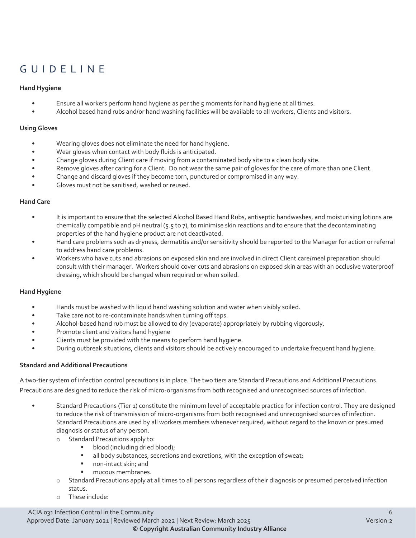### GUIDELINE

#### **Hand Hygiene**

- Ensure all workers perform hand hygiene as per the 5 moments for hand hygiene at all times.
- Alcohol based hand rubs and/or hand washing facilities will be available to all workers, Clients and visitors.

#### **Using Gloves**

- Wearing gloves does not eliminate the need for hand hygiene.
- Wear gloves when contact with body fluids is anticipated.
- Change gloves during Client care if moving from a contaminated body site to a clean body site.
- Remove gloves after caring for a Client. Do not wear the same pair of gloves for the care of more than one Client.
- Change and discard gloves if they become torn, punctured or compromised in any way.
- Gloves must not be sanitised, washed or reused.

#### **Hand Care**

- It is important to ensure that the selected Alcohol Based Hand Rubs, antiseptic handwashes, and moisturising lotions are chemically compatible and pH neutral (5.5 to 7), to minimise skin reactions and to ensure that the decontaminating properties of the hand hygiene product are not deactivated.
- Hand care problems such as dryness, dermatitis and/or sensitivity should be reported to the Manager for action or referral to address hand care problems.
- Workers who have cuts and abrasions on exposed skin and are involved in direct Client care/meal preparation should consult with their manager. Workers should cover cuts and abrasions on exposed skin areas with an occlusive waterproof dressing, which should be changed when required or when soiled.

#### **Hand Hygiene**

- Hands must be washed with liquid hand washing solution and water when visibly soiled.
- Take care not to re-contaminate hands when turning off taps.
- Alcohol-based hand rub must be allowed to dry (evaporate) appropriately by rubbing vigorously.
- Promote client and visitors hand hygiene
- Clients must be provided with the means to perform hand hygiene.
- During outbreak situations, clients and visitors should be actively encouraged to undertake frequent hand hygiene.

#### **Standard and Additional Precautions**

A two-tier system of infection control precautions is in place. The two tiers are Standard Precautions and Additional Precautions. Precautions are designed to reduce the risk of micro-organisms from both recognised and unrecognised sources of infection.

- Standard Precautions (Tier 1) constitute the minimum level of acceptable practice for infection control. They are designed to reduce the risk of transmission of micro-organisms from both recognised and unrecognised sources of infection. Standard Precautions are used by all workers members whenever required, without regard to the known or presumed diagnosis or status of any person.
	- o Standard Precautions apply to:
		- blood (including dried blood);
		- all body substances, secretions and excretions, with the exception of sweat;
		- non-intact skin; and
		- mucous membranes.
	- o Standard Precautions apply at all times to all persons regardless of their diagnosis or presumed perceived infection status.
	- o These include: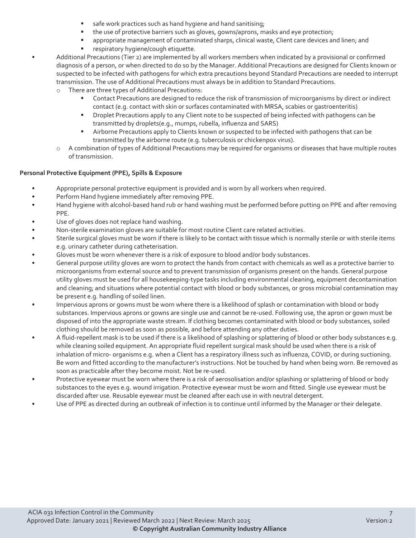- safe work practices such as hand hygiene and hand sanitising;
- the use of protective barriers such as gloves, gowns/aprons, masks and eye protection;
- appropriate management of contaminated sharps, clinical waste, Client care devices and linen; and
- respiratory hygiene/cough etiquette.

• Additional Precautions (Tier 2) are implemented by all workers members when indicated by a provisional or confirmed diagnosis of a person, or when directed to do so by the Manager. Additional Precautions are designed for Clients known or suspected to be infected with pathogens for which extra precautions beyond Standard Precautions are needed to interrupt transmission. The use of Additional Precautions must always be in addition to Standard Precautions.

- o There are three types of Additional Precautions:
	- Contact Precautions are designed to reduce the risk of transmission of microorganisms by direct or indirect contact (e.g. contact with skin or surfaces contaminated with MRSA, scabies or gastroenteritis)
	- Droplet Precautions apply to any Client note to be suspected of being infected with pathogens can be transmitted by droplets(e.g., mumps, rubella, influenza and SARS)
	- **EXECT** Airborne Precautions apply to Clients known or suspected to be infected with pathogens that can be transmitted by the airborne route (e.g. tuberculosis or chickenpox virus).
- $\circ$  A combination of types of Additional Precautions may be required for organisms or diseases that have multiple routes of transmission.

#### **Personal Protective Equipment (PPE), Spills & Exposure**

- Appropriate personal protective equipment is provided and is worn by all workers when required.
- Perform Hand hygiene immediately after removing PPE.
- Hand hygiene with alcohol-based hand rub or hand washing must be performed before putting on PPE and after removing PPE.
- Use of gloves does not replace hand washing.
- Non-sterile examination gloves are suitable for most routine Client care related activities.
- Sterile surgical gloves must be worn if there is likely to be contact with tissue which is normally sterile or with sterile items e.g. urinary catheter during catheterisation.
- Gloves must be worn whenever there is a risk of exposure to blood and/or body substances.
- General purpose utility gloves are worn to protect the hands from contact with chemicals as well as a protective barrier to microorganisms from external source and to prevent transmission of organisms present on the hands. General purpose utility gloves must be used for all housekeeping-type tasks including environmental cleaning, equipment decontamination and cleaning; and situations where potential contact with blood or body substances, or gross microbial contamination may be present e.g. handling of soiled linen.
- Impervious aprons or gowns must be worn where there is a likelihood of splash or contamination with blood or body substances. Impervious aprons or gowns are single use and cannot be re-used. Following use, the apron or gown must be disposed of into the appropriate waste stream. If clothing becomes contaminated with blood or body substances, soiled clothing should be removed as soon as possible, and before attending any other duties.
- A fluid-repellent mask is to be used if there is a likelihood of splashing or splattering of blood or other body substances e.g. while cleaning soiled equipment. An appropriate fluid repellent surgical mask should be used when there is a risk of inhalation of micro- organisms e.g. when a Client has a respiratory illness such as influenza, COVID, or during suctioning. Be worn and fitted according to the manufacturer's instructions. Not be touched by hand when being worn. Be removed as soon as practicable after they become moist. Not be re-used.
- Protective eyewear must be worn where there is a risk of aerosolisation and/or splashing or splattering of blood or body substances to the eyes e.g. wound irrigation. Protective eyewear must be worn and fitted. Single use eyewear must be discarded after use. Reusable eyewear must be cleaned after each use in with neutral detergent.
- Use of PPE as directed during an outbreak of infection is to continue until informed by the Manager or their delegate.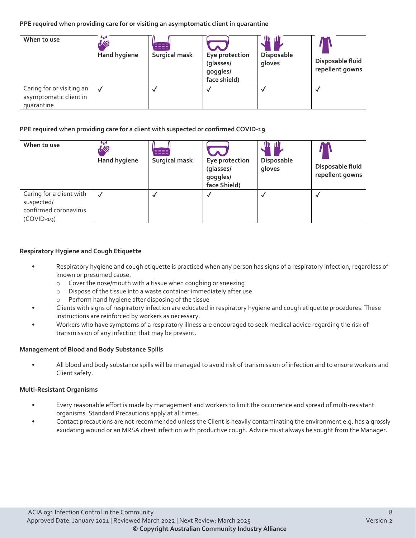#### **PPE required when providing care for or visiting an asymptomatic client in quarantine**

| When to use                                                       | $\bullet$ . $\bullet$<br>VIE<br><b>Hand hygiene</b> | <b>Surgical mask</b> | Eye protection<br>(glasses/<br>goggles/<br>face shield) | W 111<br>Disposable<br>gloves | Disposable fluid<br>repellent gowns |
|-------------------------------------------------------------------|-----------------------------------------------------|----------------------|---------------------------------------------------------|-------------------------------|-------------------------------------|
| Caring for or visiting an<br>asymptomatic client in<br>quarantine |                                                     |                      |                                                         |                               | N                                   |

#### **PPE required when providing care for a client with suspected or confirmed COVID-19**

| When to use                                                                     | $\bullet$<br>VIDE<br><b>Hand hygiene</b> | Surgical mask | Eye protection<br>(glasses/<br>goggles/<br>face Shield) | ш<br>- 1111<br>Disposable<br>gloves | Disposable fluid<br>repellent gowns |
|---------------------------------------------------------------------------------|------------------------------------------|---------------|---------------------------------------------------------|-------------------------------------|-------------------------------------|
| Caring for a client with<br>suspected/<br>confirmed coronavirus<br>$(COVID-19)$ |                                          |               |                                                         |                                     |                                     |

#### **Respiratory Hygiene and Cough Etiquette**

- Respiratory hygiene and cough etiquette is practiced when any person has signs of a respiratory infection, regardless of known or presumed cause.
	- $\circ$  Cover the nose/mouth with a tissue when coughing or sneezing  $\circ$  Dispose of the tissue into a waste container immediately after u
	- Dispose of the tissue into a waste container immediately after use
	- o Perform hand hygiene after disposing of the tissue
- Clients with signs of respiratory infection are educated in respiratory hygiene and cough etiquette procedures. These instructions are reinforced by workers as necessary.
- Workers who have symptoms of a respiratory illness are encouraged to seek medical advice regarding the risk of transmission of any infection that may be present.

#### **Management of Blood and Body Substance Spills**

• All blood and body substance spills will be managed to avoid risk of transmission of infection and to ensure workers and Client safety.

#### **Multi-Resistant Organisms**

- Every reasonable effort is made by management and workers to limit the occurrence and spread of multi-resistant organisms. Standard Precautions apply at all times.
- Contact precautions are not recommended unless the Client is heavily contaminating the environment e.g. has a grossly exudating wound or an MRSA chest infection with productive cough. Advice must always be sought from the Manager.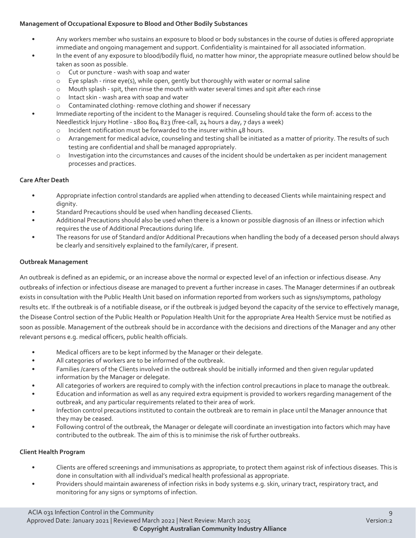#### **Management of Occupational Exposure to Blood and Other Bodily Substances**

- Any workers member who sustains an exposure to blood or body substances in the course of duties is offered appropriate immediate and ongoing management and support. Confidentiality is maintained for all associated information.
- In the event of any exposure to blood/bodily fluid, no matter how minor, the appropriate measure outlined below should be taken as soon as possible.
	- o Cut or puncture wash with soap and water
	- $\circ$  Eye splash rinse eye(s), while open, gently but thoroughly with water or normal saline<br>  $\circ$  Mouth splash spit, then rinse the mouth with water several times and spit after each ri
	- Mouth splash spit, then rinse the mouth with water several times and spit after each rinse
	- o Intact skin wash area with soap and water
	- o Contaminated clothing- remove clothing and shower if necessary
- Immediate reporting of the incident to the Manager is required. Counseling should take the form of: access to the Needlestick Injury Hotline - 1800 804 823 (free-call, 24 hours a day, 7 days a week)
	- o Incident notification must be forwarded to the insurer within 48 hours.
	- o Arrangement for medical advice, counseling and testing shall be initiated as a matter of priority. The results of such testing are confidential and shall be managed appropriately.
	- o Investigation into the circumstances and causes of the incident should be undertaken as per incident management processes and practices.

#### **Care After Death**

- Appropriate infection control standards are applied when attending to deceased Clients while maintaining respect and dignity.
- Standard Precautions should be used when handling deceased Clients.
- Additional Precautions should also be used when there is a known or possible diagnosis of an illness or infection which requires the use of Additional Precautions during life.
- The reasons for use of Standard and/or Additional Precautions when handling the body of a deceased person should always be clearly and sensitively explained to the family/carer, if present.

#### **Outbreak Management**

An outbreak is defined as an epidemic, or an increase above the normal or expected level of an infection or infectious disease. Any outbreaks of infection or infectious disease are managed to prevent a further increase in cases. The Manager determines if an outbreak exists in consultation with the Public Health Unit based on information reported from workers such as signs/symptoms, pathology results etc. If the outbreak is of a notifiable disease, or if the outbreak is judged beyond the capacity of the service to effectively manage, the Disease Control section of the Public Health or Population Health Unit for the appropriate Area Health Service must be notified as soon as possible. Management of the outbreak should be in accordance with the decisions and directions of the Manager and any other relevant persons e.g. medical officers, public health officials.

- Medical officers are to be kept informed by the Manager or their delegate.
- All categories of workers are to be informed of the outbreak.
- Families /carers of the Clients involved in the outbreak should be initially informed and then given regular updated information by the Manager or delegate.
- All categories of workers are required to comply with the infection control precautions in place to manage the outbreak.
- Education and information as well as any required extra equipment is provided to workers regarding management of the outbreak, and any particular requirements related to their area of work.
- Infection control precautions instituted to contain the outbreak are to remain in place until the Manager announce that they may be ceased.
- Following control of the outbreak, the Manager or delegate will coordinate an investigation into factors which may have contributed to the outbreak. The aim of this is to minimise the risk of further outbreaks.

#### **Client Health Program**

- Clients are offered screenings and immunisations as appropriate, to protect them against risk of infectious diseases. This is done in consultation with all individual's medical health professional as appropriate.
- Providers should maintain awareness of infection risks in body systems e.g. skin, urinary tract, respiratory tract, and monitoring for any signs or symptoms of infection.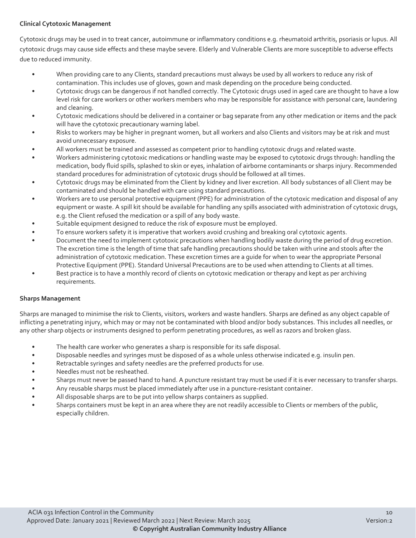#### **Clinical Cytotoxic Management**

Cytotoxic drugs may be used in to treat cancer, autoimmune or inflammatory conditions e.g. rheumatoid arthritis, psoriasis or lupus. All cytotoxic drugs may cause side effects and these maybe severe. Elderly and Vulnerable Clients are more susceptible to adverse effects due to reduced immunity.

- When providing care to any Clients, standard precautions must always be used by all workers to reduce any risk of contamination. This includes use of gloves, gown and mask depending on the procedure being conducted.
- Cytotoxic drugs can be dangerous if not handled correctly. The Cytotoxic drugs used in aged care are thought to have a low level risk for care workers or other workers members who may be responsible for assistance with personal care, laundering and cleaning.
- Cytotoxic medications should be delivered in a container or bag separate from any other medication or items and the pack will have the cytotoxic precautionary warning label.
- Risks to workers may be higher in pregnant women, but all workers and also Clients and visitors may be at risk and must avoid unnecessary exposure.
- All workers must be trained and assessed as competent prior to handling cytotoxic drugs and related waste.
- Workers administering cytotoxic medications or handling waste may be exposed to cytotoxic drugs through: handling the medication, body fluid spills, splashed to skin or eyes, inhalation of airborne contaminants or sharps injury. Recommended standard procedures for administration of cytotoxic drugs should be followed at all times.
- Cytotoxic drugs may be eliminated from the Client by kidney and liver excretion. All body substances of all Client may be contaminated and should be handled with care using standard precautions.
- Workers are to use personal protective equipment (PPE) for administration of the cytotoxic medication and disposal of any equipment or waste. A spill kit should be available for handling any spills associated with administration of cytotoxic drugs, e.g. the Client refused the medication or a spill of any body waste.
- Suitable equipment designed to reduce the risk of exposure must be employed.
- To ensure workers safety it is imperative that workers avoid crushing and breaking oral cytotoxic agents.
- Document the need to implement cytotoxic precautions when handling bodily waste during the period of drug excretion. The excretion time is the length of time that safe handling precautions should be taken with urine and stools after the administration of cytotoxic medication. These excretion times are a guide for when to wear the appropriate Personal Protective Equipment (PPE). Standard Universal Precautions are to be used when attending to Clients at all times.
- Best practice is to have a monthly record of clients on cytotoxic medication or therapy and kept as per archiving requirements.

#### **Sharps Management**

Sharps are managed to minimise the risk to Clients, visitors, workers and waste handlers. Sharps are defined as any object capable of inflicting a penetrating injury, which may or may not be contaminated with blood and/or body substances. This includes all needles, or any other sharp objects or instruments designed to perform penetrating procedures, as well as razors and broken glass.

- The health care worker who generates a sharp is responsible for its safe disposal.
- Disposable needles and syringes must be disposed of as a whole unless otherwise indicated e.g. insulin pen.
- Retractable syringes and safety needles are the preferred products for use.
- Needles must not be resheathed.
- Sharps must never be passed hand to hand. A puncture resistant tray must be used if it is ever necessary to transfer sharps.
- Any reusable sharps must be placed immediately after use in a puncture-resistant container.
- All disposable sharps are to be put into yellow sharps containers as supplied.
- Sharps containers must be kept in an area where they are not readily accessible to Clients or members of the public, especially children.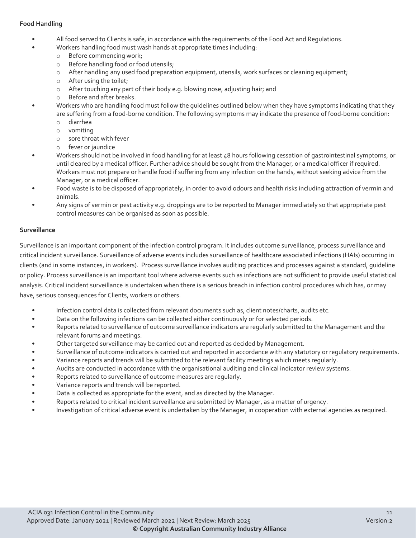#### **Food Handling**

- All food served to Clients is safe, in accordance with the requirements of the Food Act and Regulations.
- Workers handling food must wash hands at appropriate times including:
	- o Before commencing work;
	- o Before handling food or food utensils;
	- o After handling any used food preparation equipment, utensils, work surfaces or cleaning equipment;
	- o After using the toilet;
	- o After touching any part of their body e.g. blowing nose, adjusting hair; and
	- o Before and after breaks.
	- Workers who are handling food must follow the guidelines outlined below when they have symptoms indicating that they are suffering from a food-borne condition. The following symptoms may indicate the presence of food-borne condition:
		- o diarrhea
		- o vomiting
		- o sore throat with fever
		- o fever or jaundice
- Workers should not be involved in food handling for at least 48 hours following cessation of gastrointestinal symptoms, or until cleared by a medical officer. Further advice should be sought from the Manager, or a medical officer if required. Workers must not prepare or handle food if suffering from any infection on the hands, without seeking advice from the Manager, or a medical officer.
- Food waste is to be disposed of appropriately, in order to avoid odours and health risks including attraction of vermin and animals.
- Any signs of vermin or pest activity e.g. droppings are to be reported to Manager immediately so that appropriate pest control measures can be organised as soon as possible.

#### **Surveillance**

Surveillance is an important component of the infection control program. It includes outcome surveillance, process surveillance and critical incident surveillance. Surveillance of adverse events includes surveillance of healthcare associated infections (HAIs) occurring in clients (and in some instances, in workers). Process surveillance involves auditing practices and processes against a standard, guideline or policy. Process surveillance is an important tool where adverse events such as infections are not sufficient to provide useful statistical analysis. Critical incident surveillance is undertaken when there is a serious breach in infection control procedures which has, or may have, serious consequences for Clients, workers or others.

- Infection control data is collected from relevant documents such as, client notes/charts, audits etc.
- Data on the following infections can be collected either continuously or for selected periods.
- Reports related to surveillance of outcome surveillance indicators are regularly submitted to the Management and the relevant forums and meetings.
- Other targeted surveillance may be carried out and reported as decided by Management.
- Surveillance of outcome indicators is carried out and reported in accordance with any statutory or regulatory requirements.
- Variance reports and trends will be submitted to the relevant facility meetings which meets regularly.
- Audits are conducted in accordance with the organisational auditing and clinical indicator review systems.
- Reports related to surveillance of outcome measures are regularly.
- Variance reports and trends will be reported.
- Data is collected as appropriate for the event, and as directed by the Manager.
- Reports related to critical incident surveillance are submitted by Manager, as a matter of urgency.
- Investigation of critical adverse event is undertaken by the Manager, in cooperation with external agencies as required.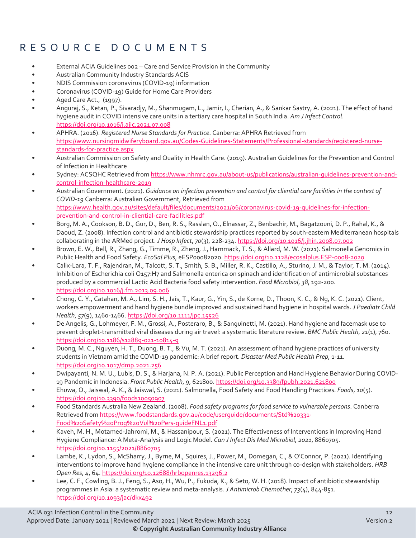### RESOURCE DOCUMENTS

- External ACIA Guidelines 002 Care and Service Provision in the Community
- Australian Community Industry Standards ACIS
- NDIS Commission coronavirus (COVID-19) information
- Coronavirus (COVID-19) Guide for Home Care Providers
- Aged Care Act., (1997).
- Anguraj, S., Ketan, P., Sivaradjy, M., Shanmugam, L., Jamir, I., Cherian, A., & Sankar Sastry, A. (2021). The effect of hand hygiene audit in COVID intensive care units in a tertiary care hospital in South India. *Am J Infect Control*. <https://doi.org/10.1016/j.ajic.2021.07.008>
- APHRA. (2016). *Registered Nurse Standards for Practice*. Canberra: APHRA Retrieved from [https://www.nursingmidwiferyboard.gov.au/Codes-Guidelines-Statements/Professional-standards/registered-nurse](https://www.nursingmidwiferyboard.gov.au/Codes-Guidelines-Statements/Professional-standards/registered-nurse-standards-for-practice.aspx)[standards-for-practice.aspx](https://www.nursingmidwiferyboard.gov.au/Codes-Guidelines-Statements/Professional-standards/registered-nurse-standards-for-practice.aspx)
- Australian Commission on Safety and Quality in Health Care. (2019). Australian Guidelines for the Prevention and Control of Infection in Healthcare
- Sydney: ACSQHC Retrieved fro[m https://www.nhmrc.gov.au/about-us/publications/australian-guidelines-prevention-and](https://www.nhmrc.gov.au/about-us/publications/australian-guidelines-prevention-and-control-infection-healthcare-2019)[control-infection-healthcare-2019](https://www.nhmrc.gov.au/about-us/publications/australian-guidelines-prevention-and-control-infection-healthcare-2019)
- Australian Government. (2021). *Guidance on infection prevention and control for cliential care facilities in the context of COVID-19* Canberra: Australian Government, Retrieved from [https://www.health.gov.au/sites/default/files/documents/2021/06/coronavirus-covid-19-guidelines-for-infection](https://www.health.gov.au/sites/default/files/documents/2021/06/coronavirus-covid-19-guidelines-for-infection-prevention-and-control-in-residential-care-facilities.pdf)[prevention-and-control-in-cliential-care-facilities.pdf](https://www.health.gov.au/sites/default/files/documents/2021/06/coronavirus-covid-19-guidelines-for-infection-prevention-and-control-in-residential-care-facilities.pdf)
- Borg, M. A., Cookson, B. D., Gur, D., Ben, R. S., Rasslan, O., Elnassar, Z., Benbachir, M., Bagatzouni, D. P., Rahal, K., & Daoud, Z. (2008). Infection control and antibiotic stewardship practices reported by south-eastern Mediterranean hospitals collaborating in the ARMed project. *J Hosp Infect*, *70*(3), 228-234[. https://doi.org/10.1016/j.jhin.2008.07.002](https://doi.org/10.1016/j.jhin.2008.07.002)
- Brown, E. W., Bell, R., Zhang, G., Timme, R., Zheng, J., Hammack, T. S., & Allard, M. W. (2021). Salmonella Genomics in Public Health and Food Safety. *EcoSal Plus*, eESP00082020[. https://doi.org/10.1128/ecosalplus.ESP-0008-2020](https://doi.org/10.1128/ecosalplus.ESP-0008-2020)
- Calix-Lara, T. F., Rajendran, M., Talcott, S. T., Smith, S. B., Miller, R. K., Castillo, A., Sturino, J. M., & Taylor, T. M. (2014). Inhibition of Escherichia coli O157:H7 and Salmonella enterica on spinach and identification of antimicrobial substances produced by a commercial Lactic Acid Bacteria food safety intervention. *Food Microbiol*, *38*, 192-200. <https://doi.org/10.1016/j.fm.2013.09.006>
- Chong, C. Y., Catahan, M. A., Lim, S. H., Jais, T., Kaur, G., Yin, S., de Korne, D., Thoon, K. C., & Ng, K. C. (2021). Client, workers empowerment and hand hygiene bundle improved and sustained hand hygiene in hospital wards. *J Paediatr Child Health*, *57*(9), 1460-1466.<https://doi.org/10.1111/jpc.15526>
- De Angelis, G., Lohmeyer, F. M., Grossi, A., Posteraro, B., & Sanguinetti, M. (2021). Hand hygiene and facemask use to prevent droplet-transmitted viral diseases during air travel: a systematic literature review. *BMC Public Health*, *21*(1), 760. <https://doi.org/10.1186/s12889-021-10814-9>
- Duong, M. C., Nguyen, H. T., Duong, B. T., & Vu, M. T. (2021). An assessment of hand hygiene practices of university students in Vietnam amid the COVID-19 pandemic: A brief report. *Disaster Med Public Health Prep*, 1-11. <https://doi.org/10.1017/dmp.2021.256>
- Dwipayanti, N. M. U., Lubis, D. S., & Harjana, N. P. A. (2021). Public Perception and Hand Hygiene Behavior During COVID-19 Pandemic in Indonesia. *Front Public Health*, *9*, 621800[. https://doi.org/10.3389/fpubh.2021.621800](https://doi.org/10.3389/fpubh.2021.621800)
- Ehuwa, O., Jaiswal, A. K., & Jaiswal, S. (2021). Salmonella, Food Safety and Food Handling Practices. *Foods*, *10*(5). <https://doi.org/10.3390/foods10050907>
- Food Standards Australia New Zealand. (2008). *Food safety programs for food service to vulnerable persons*. Canberra Retrieved from [https://www.foodstandards.gov.au/code/userguide/documents/Std%20331-](https://www.foodstandards.gov.au/code/userguide/documents/Std%20331-Food%20Safety%20Prog%20Vul%20Pers-guideFNL1.pdf) [Food%20Safety%20Prog%20Vul%20Pers-guideFNL1.pdf](https://www.foodstandards.gov.au/code/userguide/documents/Std%20331-Food%20Safety%20Prog%20Vul%20Pers-guideFNL1.pdf)
- Kaveh, M. H., Motamed-Jahromi, M., & Hassanipour, S. (2021). The Effectiveness of Interventions in Improving Hand Hygiene Compliance: A Meta-Analysis and Logic Model. *Can J Infect Dis Med Microbiol*, *2021*, 8860705. <https://doi.org/10.1155/2021/8860705>
- Lambe, K., Lydon, S., McSharry, J., Byrne, M., Squires, J., Power, M., Domegan, C., & O'Connor, P. (2021). Identifying interventions to improve hand hygiene compliance in the intensive care unit through co-design with stakeholders. *HRB Open Res*, *4*, 64[. https://doi.org/10.12688/hrbopenres.13296.2](https://doi.org/10.12688/hrbopenres.13296.2)
- Lee, C. F., Cowling, B. J., Feng, S., Aso, H., Wu, P., Fukuda, K., & Seto, W. H. (2018). Impact of antibiotic stewardship programmes in Asia: a systematic review and meta-analysis. *J Antimicrob Chemother*, *73*(4), 844-851. <https://doi.org/10.1093/jac/dkx492>